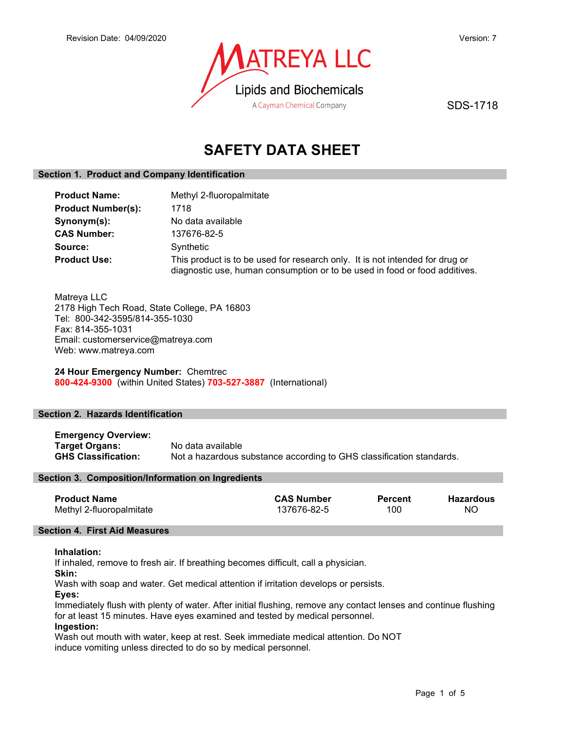

SDS-1718

# SAFETY DATA SHEET

### Section 1. Product and Company Identification

| <b>Product Name:</b>      | Methyl 2-fluoropalmitate                                                                                                                                   |  |
|---------------------------|------------------------------------------------------------------------------------------------------------------------------------------------------------|--|
| <b>Product Number(s):</b> | 1718                                                                                                                                                       |  |
| Synonym(s):               | No data available                                                                                                                                          |  |
| <b>CAS Number:</b>        | 137676-82-5                                                                                                                                                |  |
| Source:                   | Synthetic                                                                                                                                                  |  |
| <b>Product Use:</b>       | This product is to be used for research only. It is not intended for drug or<br>diagnostic use, human consumption or to be used in food or food additives. |  |

Matreya LLC 2178 High Tech Road, State College, PA 16803 Tel: 800-342-3595/814-355-1030 Fax: 814-355-1031 Email: customerservice@matreya.com Web: www.matreya.com

24 Hour Emergency Number: Chemtrec 800-424-9300 (within United States) 703-527-3887 (International)

### Section 2. Hazards Identification

Emergency Overview: **Target Organs:** No data available<br> **GHS Classification:** Not a hazardous s Not a hazardous substance according to GHS classification standards.

### Section 3. Composition/Information on Ingredients

| <b>Product Name</b>      | <b>CAS Number</b> | <b>Percent</b> | Hazardous |
|--------------------------|-------------------|----------------|-----------|
| Methyl 2-fluoropalmitate | 137676-82-5       | 100            | ΝC        |

### Section 4. First Aid Measures

### Inhalation:

If inhaled, remove to fresh air. If breathing becomes difficult, call a physician.

Skin:

Wash with soap and water. Get medical attention if irritation develops or persists.

Eyes:

Immediately flush with plenty of water. After initial flushing, remove any contact lenses and continue flushing for at least 15 minutes. Have eyes examined and tested by medical personnel.

### Ingestion:

Wash out mouth with water, keep at rest. Seek immediate medical attention. Do NOT induce vomiting unless directed to do so by medical personnel.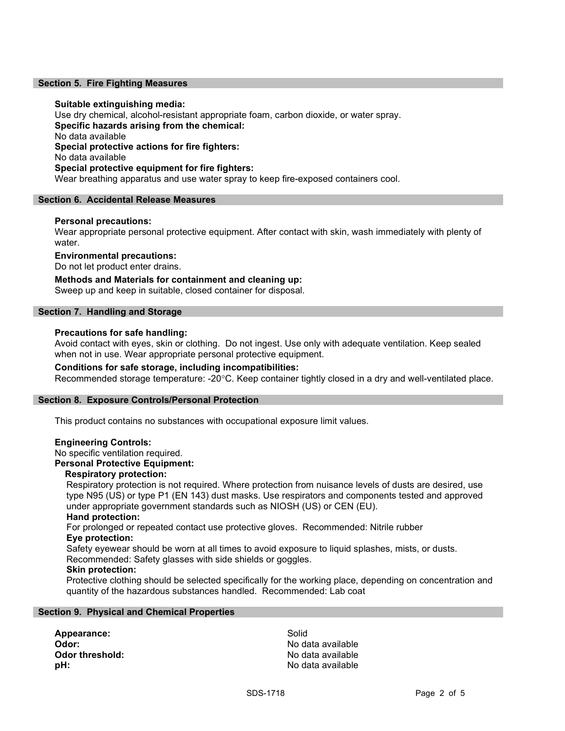### Section 5. Fire Fighting Measures

### Suitable extinguishing media:

Use dry chemical, alcohol-resistant appropriate foam, carbon dioxide, or water spray. Specific hazards arising from the chemical: No data available Special protective actions for fire fighters: No data available Special protective equipment for fire fighters: Wear breathing apparatus and use water spray to keep fire-exposed containers cool.

### Section 6. Accidental Release Measures

### Personal precautions:

Wear appropriate personal protective equipment. After contact with skin, wash immediately with plenty of water.

### Environmental precautions:

Do not let product enter drains.

Methods and Materials for containment and cleaning up: Sweep up and keep in suitable, closed container for disposal.

### Section 7. Handling and Storage

### Precautions for safe handling:

Avoid contact with eyes, skin or clothing. Do not ingest. Use only with adequate ventilation. Keep sealed when not in use. Wear appropriate personal protective equipment.

### Conditions for safe storage, including incompatibilities:

Recommended storage temperature: -20°C. Keep container tightly closed in a dry and well-ventilated place.

### Section 8. Exposure Controls/Personal Protection

This product contains no substances with occupational exposure limit values.

### Engineering Controls:

No specific ventilation required.

### Personal Protective Equipment:

### Respiratory protection:

Respiratory protection is not required. Where protection from nuisance levels of dusts are desired, use type N95 (US) or type P1 (EN 143) dust masks. Use respirators and components tested and approved under appropriate government standards such as NIOSH (US) or CEN (EU).

### Hand protection:

For prolonged or repeated contact use protective gloves. Recommended: Nitrile rubber Eye protection:

Safety eyewear should be worn at all times to avoid exposure to liquid splashes, mists, or dusts. Recommended: Safety glasses with side shields or goggles.

## Skin protection:

Protective clothing should be selected specifically for the working place, depending on concentration and quantity of the hazardous substances handled. Recommended: Lab coat

### Section 9. Physical and Chemical Properties

Appearance: Solid Odor: No data available **pH:**  $\blacksquare$ 

No data available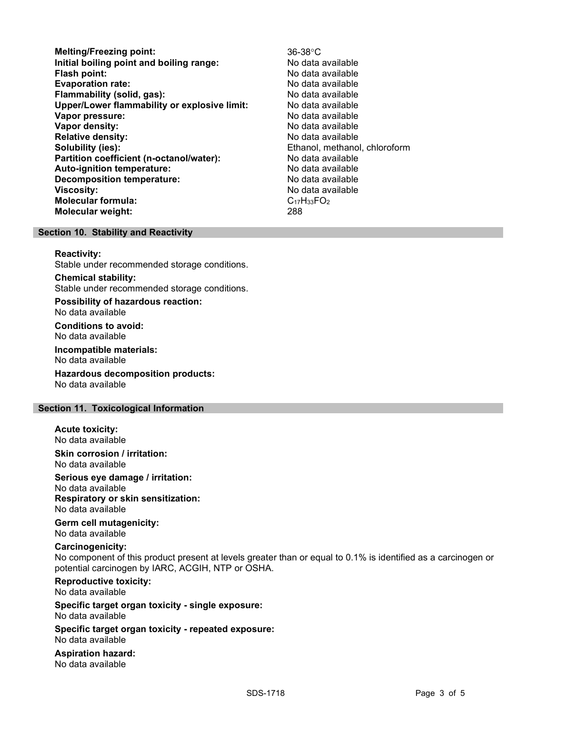- Melting/Freezing point: 36-38°C Initial boiling point and boiling range: No data available **Flash point:** No data available in the set of the set of the No data available in the set of the set of the set of the set of the set of the set of the set of the set of the set of the set of the set of the set of the set Evaporation rate: No data available Flammability (solid, gas): No data available Upper/Lower flammability or explosive limit: No data available Vapor pressure:  $\blacksquare$ Vapor density: No data available Relative density:<br>
Solubility (ies):<br>
Solubility (ies):<br>
Chanol, methano Partition coefficient (n-octanol/water): No data available Auto-ignition temperature: No data available Decomposition temperature: No data available **Viscosity:** No data available in the set of the set of the set of the set of the set of the set of the set of the set of the set of the set of the set of the set of the set of the set of the set of the set of the set of t Molecular formula: C<sub>17</sub>H<sub>33</sub>FO<sub>2</sub> Molecular weight: 288
	- Ethanol, methanol, chloroform

### Section 10. Stability and Reactivity

### Reactivity:

Stable under recommended storage conditions.

Chemical stability: Stable under recommended storage conditions.

Possibility of hazardous reaction: No data available

Conditions to avoid: No data available

Incompatible materials: No data available

Hazardous decomposition products: No data available

### Section 11. Toxicological Information

Acute toxicity: No data available

Skin corrosion / irritation: No data available

Serious eye damage / irritation: No data available

Respiratory or skin sensitization: No data available

Germ cell mutagenicity: No data available

### Carcinogenicity:

No component of this product present at levels greater than or equal to 0.1% is identified as a carcinogen or potential carcinogen by IARC, ACGIH, NTP or OSHA.

Reproductive toxicity: No data available

Specific target organ toxicity - single exposure: No data available

Specific target organ toxicity - repeated exposure: No data available

Aspiration hazard: No data available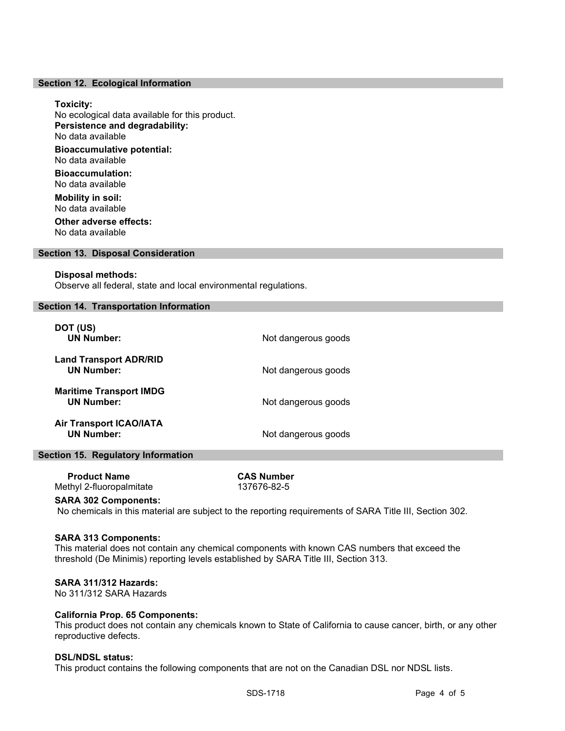### Section 12. Ecological Information

### Toxicity:

No ecological data available for this product. Persistence and degradability: No data available Bioaccumulative potential: No data available

Bioaccumulation: No data available

Mobility in soil: No data available Other adverse effects:

No data available

### Section 13. Disposal Consideration

### Disposal methods:

Observe all federal, state and local environmental regulations.

### Section 14. Transportation Information

| DOT (US)<br><b>UN Number:</b>                       | Not dangerous goods |
|-----------------------------------------------------|---------------------|
| <b>Land Transport ADR/RID</b><br><b>UN Number:</b>  | Not dangerous goods |
| <b>Maritime Transport IMDG</b><br><b>UN Number:</b> | Not dangerous goods |
| <b>Air Transport ICAO/IATA</b><br><b>UN Number:</b> | Not dangerous goods |

### Section 15. Regulatory Information

| <b>Product Name</b>      | <b>CAS Number</b> |
|--------------------------|-------------------|
| Methyl 2-fluoropalmitate | 137676-82-5       |

### SARA 302 Components:

No chemicals in this material are subject to the reporting requirements of SARA Title III, Section 302.

### SARA 313 Components:

This material does not contain any chemical components with known CAS numbers that exceed the threshold (De Minimis) reporting levels established by SARA Title III, Section 313.

### SARA 311/312 Hazards:

No 311/312 SARA Hazards

### California Prop. 65 Components:

This product does not contain any chemicals known to State of California to cause cancer, birth, or any other reproductive defects.

### DSL/NDSL status:

This product contains the following components that are not on the Canadian DSL nor NDSL lists.